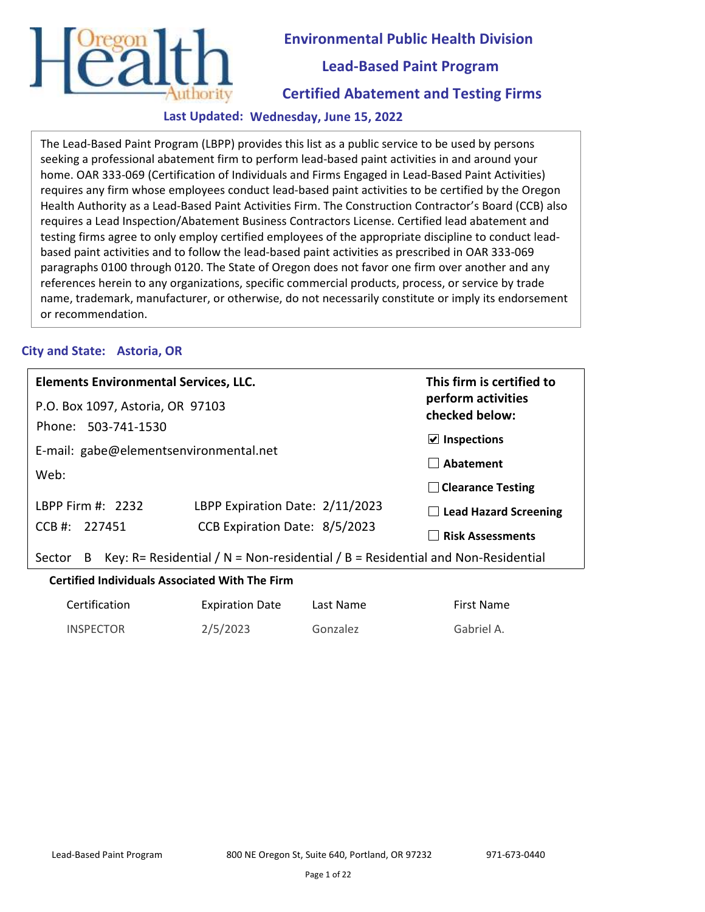# **Environmental Public Health Division**

### **Lead-Based Paint Program**

## **Certified Abatement and Testing Firms**

### **Last Updated: Wednesday, June 15, 2022**

The Lead-Based Paint Program (LBPP) provides this list as a public service to be used by persons seeking a professional abatement firm to perform lead-based paint activities in and around your home. OAR 333-069 (Certification of Individuals and Firms Engaged in Lead-Based Paint Activities) requires any firm whose employees conduct lead-based paint activities to be certified by the Oregon Health Authority as a Lead-Based Paint Activities Firm. The Construction Contractor's Board (CCB) also requires a Lead Inspection/Abatement Business Contractors License. Certified lead abatement and testing firms agree to only employ certified employees of the appropriate discipline to conduct leadbased paint activities and to follow the lead-based paint activities as prescribed in OAR 333-069 paragraphs 0100 through 0120. The State of Oregon does not favor one firm over another and any references herein to any organizations, specific commercial products, process, or service by trade name, trademark, manufacturer, or otherwise, do not necessarily constitute or imply its endorsement or recommendation.

### **City and State: Astoria, OR**

| <b>Elements Environmental Services, LLC.</b>                                                   |                                 | This firm is certified to<br>perform activities<br>checked below: |  |
|------------------------------------------------------------------------------------------------|---------------------------------|-------------------------------------------------------------------|--|
| P.O. Box 1097, Astoria, OR 97103                                                               |                                 |                                                                   |  |
| Phone: 503-741-1530                                                                            |                                 |                                                                   |  |
|                                                                                                |                                 | $\triangleright$ Inspections                                      |  |
| E-mail: gabe@elementsenvironmental.net                                                         |                                 | Abatement                                                         |  |
| Web:                                                                                           |                                 |                                                                   |  |
|                                                                                                |                                 | $\Box$ Clearance Testing                                          |  |
| LBPP Firm #: $2232$                                                                            | LBPP Expiration Date: 2/11/2023 | $\Box$ Lead Hazard Screening                                      |  |
| CCB #: 227451                                                                                  | CCB Expiration Date: 8/5/2023   | <b>Risk Assessments</b>                                           |  |
|                                                                                                |                                 |                                                                   |  |
| Key: R= Residential / N = Non-residential / B = Residential and Non-Residential<br>Sector<br>B |                                 |                                                                   |  |

| Certification    | <b>Expiration Date</b> | Last Name | <b>First Name</b> |
|------------------|------------------------|-----------|-------------------|
| <b>INSPECTOR</b> | 2/5/2023               | Gonzalez  | Gabriel A.        |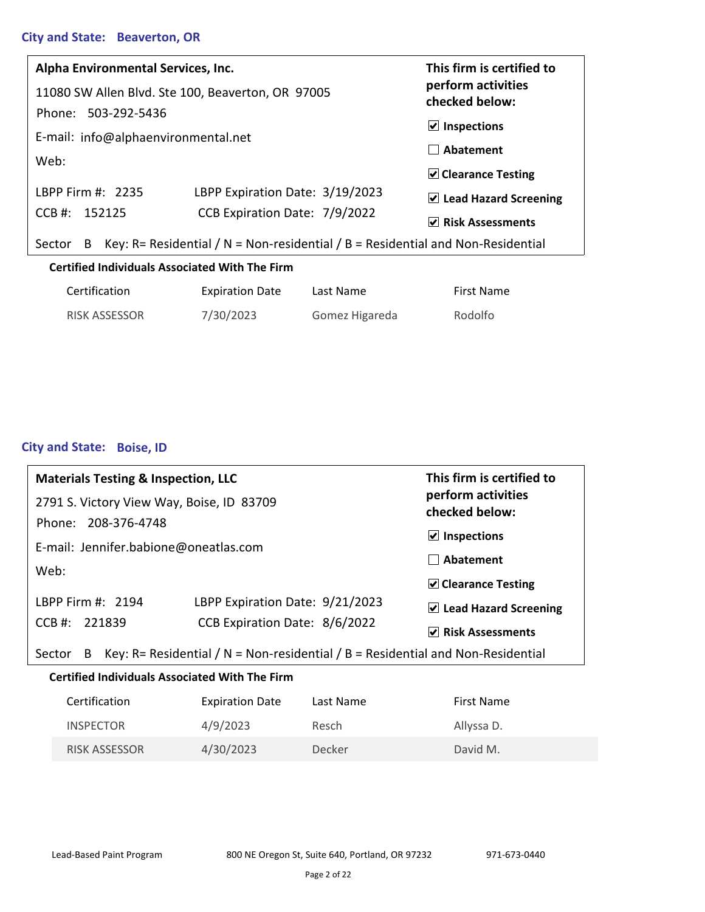### **City and State: Beaverton, OR**

| Alpha Environmental Services, Inc.                                                             |                                 | This firm is certified to<br>perform activities<br>checked below: |  |
|------------------------------------------------------------------------------------------------|---------------------------------|-------------------------------------------------------------------|--|
| 11080 SW Allen Blvd. Ste 100, Beaverton, OR 97005                                              |                                 |                                                                   |  |
| Phone: 503-292-5436                                                                            |                                 | $\vert$ Inspections                                               |  |
| E-mail: info@alphaenvironmental.net<br>Web:                                                    |                                 | Abatement                                                         |  |
|                                                                                                |                                 | $\vee$ Clearance Testing                                          |  |
| LBPP Firm #: 2235                                                                              | LBPP Expiration Date: 3/19/2023 |                                                                   |  |
| 152125<br>$CCB#$ :                                                                             | CCB Expiration Date: 7/9/2022   | $\vee$ Lead Hazard Screening                                      |  |
|                                                                                                |                                 | <b>V</b> Risk Assessments                                         |  |
| Key: R= Residential / N = Non-residential / B = Residential and Non-Residential<br>Sector<br>B |                                 |                                                                   |  |

| Certification        | <b>Expiration Date</b> | Last Name      | First Name |
|----------------------|------------------------|----------------|------------|
| <b>RISK ASSESSOR</b> | 7/30/2023              | Gomez Higareda | Rodolfo    |

### **City and State: Boise, ID**

| <b>Materials Testing &amp; Inspection, LLC</b> |                                 | This firm is certified to<br>perform activities<br>checked below: |  |
|------------------------------------------------|---------------------------------|-------------------------------------------------------------------|--|
| 2791 S. Victory View Way, Boise, ID 83709      |                                 |                                                                   |  |
| Phone: 208-376-4748                            |                                 | $\vert$ Inspections                                               |  |
| E-mail: Jennifer.babione@oneatlas.com          |                                 | Abatement                                                         |  |
| Web:                                           |                                 | $\triangledown$ Clearance Testing                                 |  |
| LBPP Firm #: 2194                              | LBPP Expiration Date: 9/21/2023 | $\vee$ Lead Hazard Screening                                      |  |
| 221839<br>$CCB$ #:                             | CCB Expiration Date: 8/6/2022   | <b>Risk Assessments</b><br>V                                      |  |

Sector B Key: R= Residential / N = Non-residential / B = Residential and Non-Residential

| Certification        | <b>Expiration Date</b> | Last Name | First Name |
|----------------------|------------------------|-----------|------------|
| <b>INSPECTOR</b>     | 4/9/2023               | Resch     | Allyssa D. |
| <b>RISK ASSESSOR</b> | 4/30/2023              | Decker    | David M.   |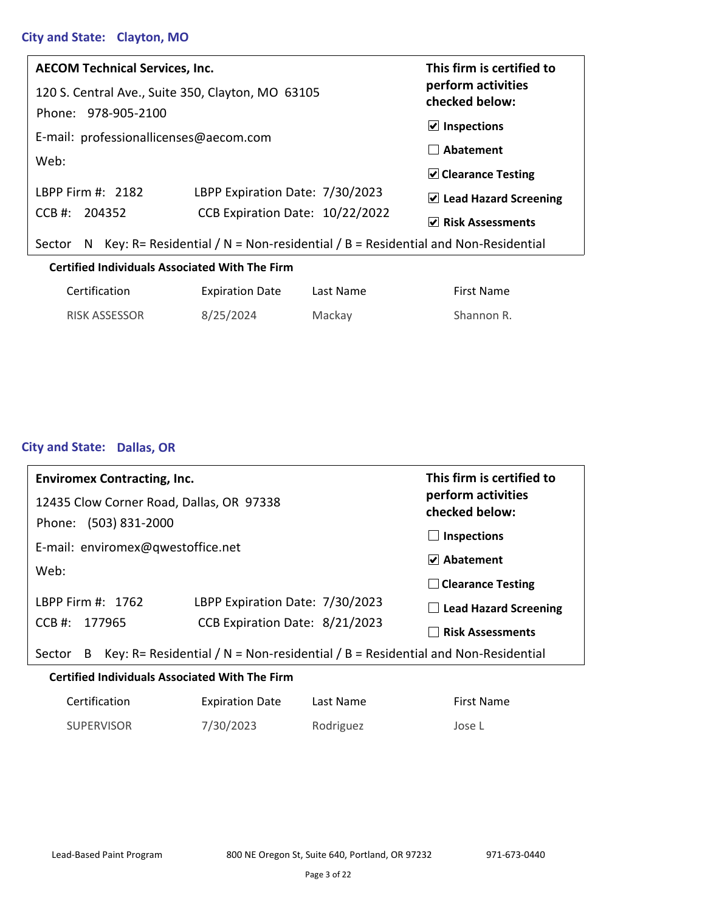### **City and State: Clayton, MO**

| <b>AECOM Technical Services, Inc.</b>             |                                                                                 | This firm is certified to<br>perform activities<br>checked below: |  |
|---------------------------------------------------|---------------------------------------------------------------------------------|-------------------------------------------------------------------|--|
| 120 S. Central Ave., Suite 350, Clayton, MO 63105 |                                                                                 |                                                                   |  |
| Phone: 978-905-2100                               |                                                                                 |                                                                   |  |
| E-mail: professionallicenses@aecom.com            |                                                                                 | $\vert$ Inspections                                               |  |
| Web:                                              |                                                                                 | Abatement                                                         |  |
|                                                   |                                                                                 | $\vee$ Clearance Testing                                          |  |
| LBPP Firm #: $2182$                               | LBPP Expiration Date: 7/30/2023                                                 | $\vee$ Lead Hazard Screening                                      |  |
| CCB #: 204352                                     | CCB Expiration Date: 10/22/2022                                                 | $\vee$ Risk Assessments                                           |  |
|                                                   |                                                                                 |                                                                   |  |
| Sector<br>N.                                      | Key: R= Residential / N = Non-residential / B = Residential and Non-Residential |                                                                   |  |

| Certification        | <b>Expiration Date</b> | Last Name | First Name |
|----------------------|------------------------|-----------|------------|
| <b>RISK ASSESSOR</b> | 8/25/2024              | Mackay    | Shannon R. |

### **City and State: Dallas, OR**

| <b>Enviromex Contracting, Inc.</b>       |                                 | This firm is certified to<br>perform activities<br>checked below: |  |
|------------------------------------------|---------------------------------|-------------------------------------------------------------------|--|
| 12435 Clow Corner Road, Dallas, OR 97338 |                                 |                                                                   |  |
| Phone: (503) 831-2000                    |                                 | <b>Inspections</b>                                                |  |
| E-mail: enviromex@qwestoffice.net        |                                 | $\vee$ Abatement                                                  |  |
| Web:                                     |                                 | $\Box$ Clearance Testing                                          |  |
| LBPP Firm #: 1762                        | LBPP Expiration Date: 7/30/2023 | <b>Lead Hazard Screening</b>                                      |  |
| $CCB$ #:<br>177965                       | CCB Expiration Date: 8/21/2023  | <b>Risk Assessments</b>                                           |  |

Sector B Key: R= Residential / N = Non-residential / B = Residential and Non-Residential

| Certification     | <b>Expiration Date</b> | Last Name | First Name |
|-------------------|------------------------|-----------|------------|
| <b>SUPERVISOR</b> | 7/30/2023              | Rodriguez | Jose L     |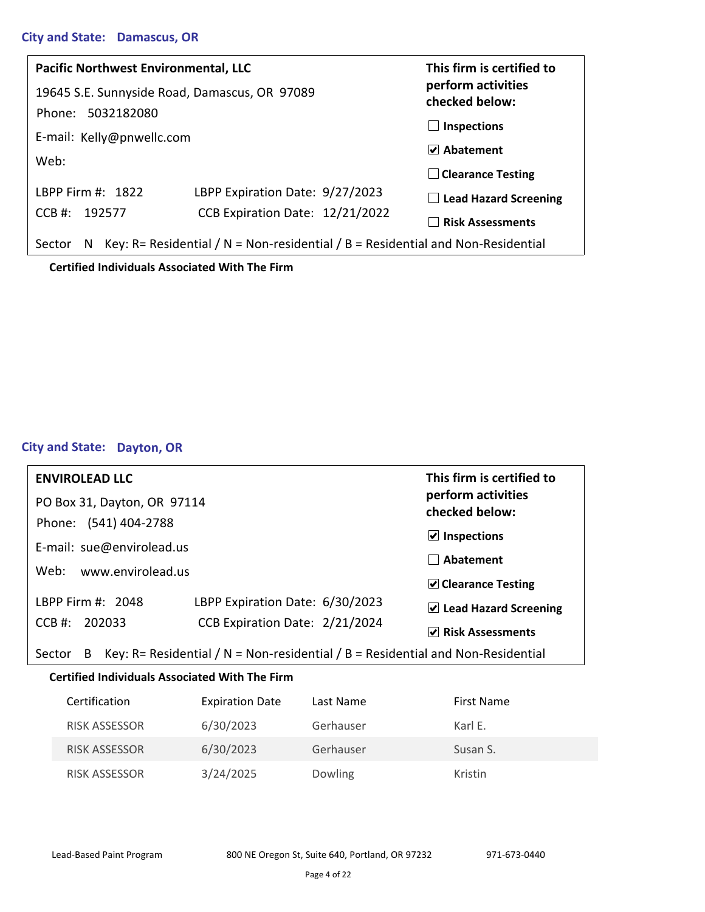### **City and State: Damascus, OR**

| <b>Pacific Northwest Environmental, LLC</b>                                                     |                                 | This firm is certified to            |  |
|-------------------------------------------------------------------------------------------------|---------------------------------|--------------------------------------|--|
| 19645 S.E. Sunnyside Road, Damascus, OR 97089                                                   |                                 | perform activities<br>checked below: |  |
| Phone: 5032182080                                                                               |                                 | Inspections                          |  |
| E-mail: Kelly@pnwellc.com                                                                       |                                 | $\triangledown$ Abatement            |  |
| Web:                                                                                            |                                 |                                      |  |
|                                                                                                 |                                 | $\Box$ Clearance Testing             |  |
| LBPP Firm #: $1822$                                                                             | LBPP Expiration Date: 9/27/2023 | $\Box$ Lead Hazard Screening         |  |
| CCB #: 192577                                                                                   | CCB Expiration Date: 12/21/2022 | <b>Risk Assessments</b>              |  |
| Key: R= Residential / N = Non-residential / B = Residential and Non-Residential<br>Sector<br>N. |                                 |                                      |  |

#### **Certified Individuals Associated With The Firm**

### **City and State: Dayton, OR**

| <b>ENVIROLEAD LLC</b>       |                                 | This firm is certified to             |
|-----------------------------|---------------------------------|---------------------------------------|
| PO Box 31, Dayton, OR 97114 |                                 | perform activities<br>checked below:  |
| Phone: (541) 404-2788       |                                 | $\vert$ Inspections                   |
| E-mail: sue@envirolead.us   |                                 | Abatement                             |
| Web: www.envirolead.us      |                                 |                                       |
| LBPP Firm #: 2048           | LBPP Expiration Date: 6/30/2023 | $\vee$ Clearance Testing              |
| $CCB$ #:<br>202033          | CCB Expiration Date: 2/21/2024  | $\triangledown$ Lead Hazard Screening |
|                             |                                 | <b>Risk Assessments</b>               |

Sector B Key: R= Residential / N = Non-residential / B = Residential and Non-Residential

| Certification        | <b>Expiration Date</b> | Last Name      | First Name |
|----------------------|------------------------|----------------|------------|
| <b>RISK ASSESSOR</b> | 6/30/2023              | Gerhauser      | Karl E.    |
| <b>RISK ASSESSOR</b> | 6/30/2023              | Gerhauser      | Susan S.   |
| <b>RISK ASSESSOR</b> | 3/24/2025              | <b>Dowling</b> | Kristin    |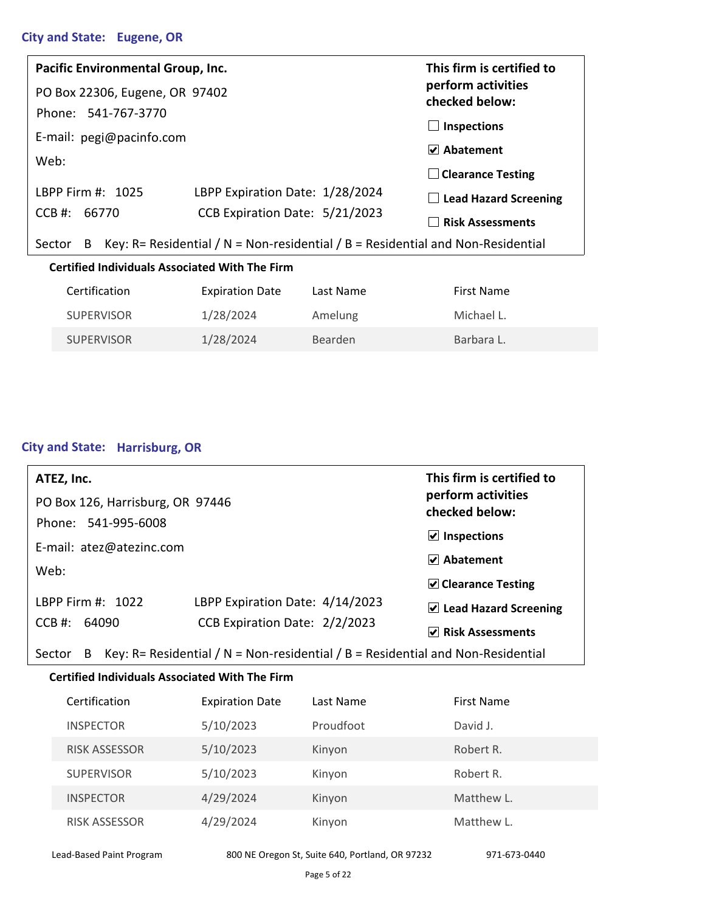### **City and State: Eugene, OR**

| Pacific Environmental Group, Inc.                                                               |                                 | This firm is certified to            |  |
|-------------------------------------------------------------------------------------------------|---------------------------------|--------------------------------------|--|
| PO Box 22306, Eugene, OR 97402                                                                  |                                 | perform activities<br>checked below: |  |
| Phone: 541-767-3770                                                                             |                                 |                                      |  |
| E-mail: pegi@pacinfo.com                                                                        |                                 | Inspections                          |  |
| Web:                                                                                            |                                 | $ v $ Abatement                      |  |
|                                                                                                 |                                 | $\Box$ Clearance Testing             |  |
| LBPP Firm #: 1025                                                                               | LBPP Expiration Date: 1/28/2024 | $\Box$ Lead Hazard Screening         |  |
| $CCB$ #: 66770                                                                                  | CCB Expiration Date: 5/21/2023  | <b>Risk Assessments</b>              |  |
| Key: R= Residential / N = Non-residential / B = Residential and Non-Residential<br>Sector<br>B. |                                 |                                      |  |
| <b>Certified Individuals Associated With The Firm</b>                                           |                                 |                                      |  |

| Certification     | <b>Expiration Date</b> | Last Name      | First Name |
|-------------------|------------------------|----------------|------------|
| <b>SUPERVISOR</b> | 1/28/2024              | Amelung        | Michael L. |
| <b>SUPERVISOR</b> | 1/28/2024              | <b>Bearden</b> | Barbara L. |

### **City and State: Harrisburg, OR**

| ATEZ, Inc.                       |                                 | This firm is certified to            |
|----------------------------------|---------------------------------|--------------------------------------|
| PO Box 126, Harrisburg, OR 97446 |                                 | perform activities<br>checked below: |
| Phone: 541-995-6008              |                                 |                                      |
| E-mail: atez@atezinc.com         |                                 | $\vee$ Inspections                   |
| Web:                             |                                 | $ v $ Abatement                      |
|                                  |                                 | <b>▽</b> Clearance Testing           |
| LBPP Firm #: 1022                | LBPP Expiration Date: 4/14/2023 | $\vee$ Lead Hazard Screening         |
| $CCB$ #:<br>64090                | CCB Expiration Date: 2/2/2023   | <b>Risk Assessments</b>              |

Sector B Key: R= Residential / N = Non-residential / B = Residential and Non-Residential

### **Certified Individuals Associated With The Firm**

| Certification        | <b>Expiration Date</b> | Last Name | <b>First Name</b> |
|----------------------|------------------------|-----------|-------------------|
| <b>INSPECTOR</b>     | 5/10/2023              | Proudfoot | David J.          |
| <b>RISK ASSESSOR</b> | 5/10/2023              | Kinyon    | Robert R.         |
| <b>SUPERVISOR</b>    | 5/10/2023              | Kinyon    | Robert R.         |
| <b>INSPECTOR</b>     | 4/29/2024              | Kinyon    | Matthew L.        |
| <b>RISK ASSESSOR</b> | 4/29/2024              | Kinyon    | Matthew L.        |

Lead-Based Paint Program 800 NE Oregon St, Suite 640, Portland, OR 97232 971-673-0440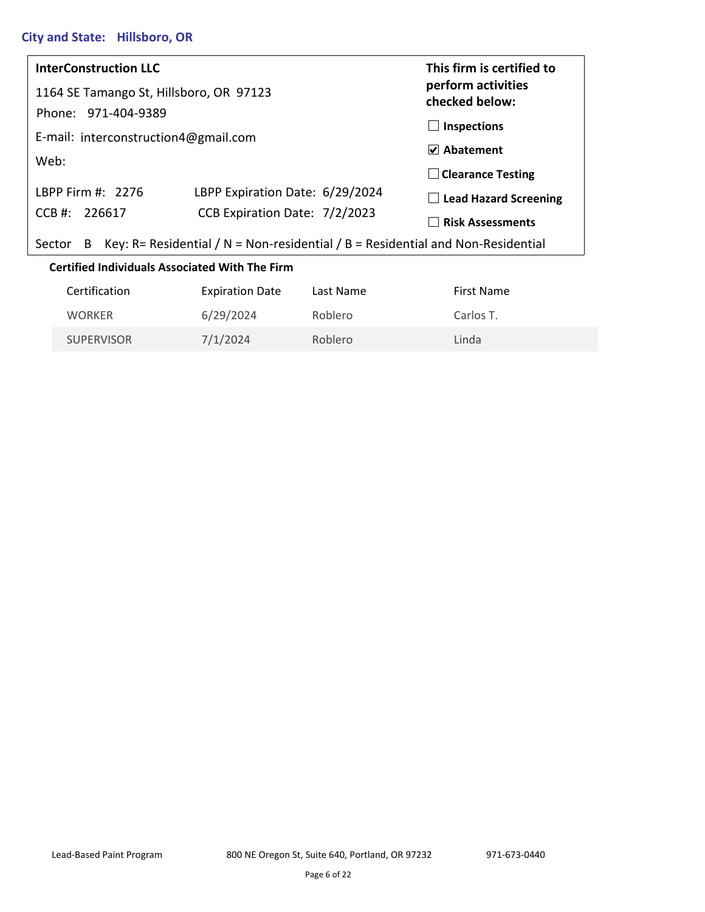### **City and State: Hillsboro, OR**

| <b>InterConstruction LLC</b>                          |                                                                                 | This firm is certified to            |  |
|-------------------------------------------------------|---------------------------------------------------------------------------------|--------------------------------------|--|
| 1164 SE Tamango St, Hillsboro, OR 97123               |                                                                                 | perform activities<br>checked below: |  |
| Phone: 971-404-9389                                   |                                                                                 |                                      |  |
| E-mail: interconstruction4@gmail.com                  |                                                                                 | Inspections                          |  |
|                                                       |                                                                                 | $\triangledown$ Abatement            |  |
| Web:                                                  |                                                                                 |                                      |  |
|                                                       |                                                                                 | $\Box$ Clearance Testing             |  |
| LBPP Firm #: 2276                                     | LBPP Expiration Date: 6/29/2024                                                 | $\Box$ Lead Hazard Screening         |  |
| CCB #: 226617                                         | CCB Expiration Date: 7/2/2023                                                   |                                      |  |
|                                                       |                                                                                 | <b>Risk Assessments</b>              |  |
| Sector<br>- B                                         | Key: R= Residential / N = Non-residential / B = Residential and Non-Residential |                                      |  |
| <b>Certified Individuals Associated With The Firm</b> |                                                                                 |                                      |  |

| Certification     | <b>Expiration Date</b> | Last Name | First Name |
|-------------------|------------------------|-----------|------------|
| <b>WORKER</b>     | 6/29/2024              | Roblero   | Carlos T.  |
| <b>SUPERVISOR</b> | 7/1/2024               | Roblero   | Linda      |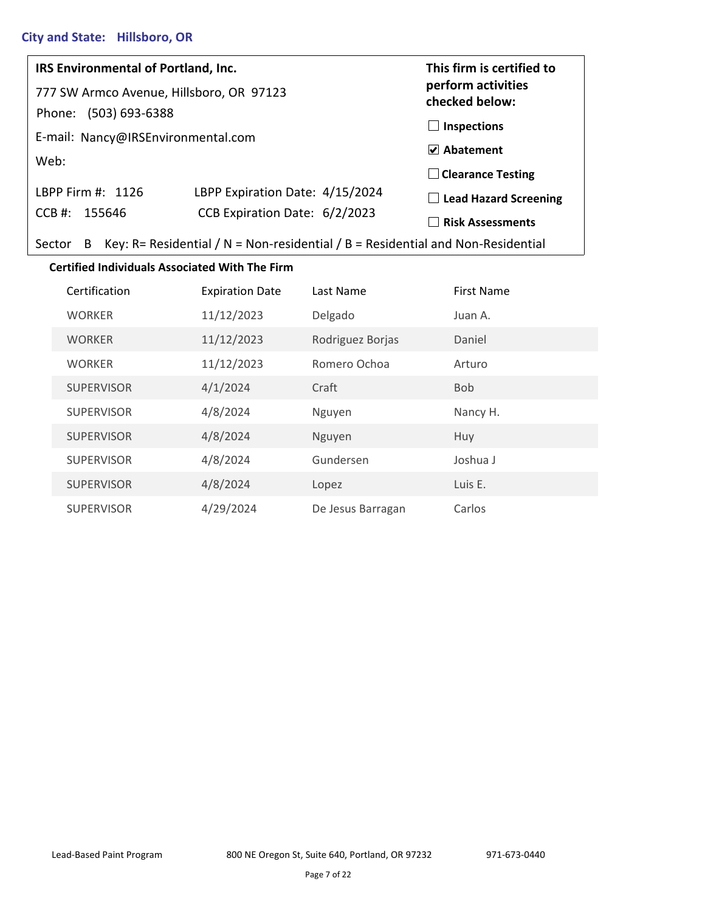### **City and State: Hillsboro, OR**

| IRS Environmental of Portland, Inc.                                                            |                                 | This firm is certified to<br>perform activities<br>checked below: |
|------------------------------------------------------------------------------------------------|---------------------------------|-------------------------------------------------------------------|
| 777 SW Armco Avenue, Hillsboro, OR 97123                                                       |                                 |                                                                   |
| Phone: (503) 693-6388                                                                          |                                 | Inspections                                                       |
| E-mail: Nancy@IRSEnvironmental.com                                                             |                                 | $\triangledown$ Abatement                                         |
| Web:                                                                                           |                                 |                                                                   |
|                                                                                                |                                 | $\Box$ Clearance Testing                                          |
| LBPP Firm #: $1126$                                                                            | LBPP Expiration Date: 4/15/2024 | <b>Lead Hazard Screening</b>                                      |
| $CCB$ #: 155646                                                                                | CCB Expiration Date: 6/2/2023   | <b>Risk Assessments</b>                                           |
| Key: R= Residential / N = Non-residential / B = Residential and Non-Residential<br>Sector<br>B |                                 |                                                                   |

| Certification     | <b>Expiration Date</b> | Last Name         | First Name |
|-------------------|------------------------|-------------------|------------|
| <b>WORKER</b>     | 11/12/2023             | Delgado           | Juan A.    |
| <b>WORKER</b>     | 11/12/2023             | Rodriguez Borjas  | Daniel     |
| <b>WORKER</b>     | 11/12/2023             | Romero Ochoa      | Arturo     |
| <b>SUPERVISOR</b> | 4/1/2024               | Craft             | <b>Bob</b> |
| <b>SUPERVISOR</b> | 4/8/2024               | Nguyen            | Nancy H.   |
| <b>SUPERVISOR</b> | 4/8/2024               | Nguyen            | Huy        |
| <b>SUPERVISOR</b> | 4/8/2024               | Gundersen         | Joshua J   |
| <b>SUPERVISOR</b> | 4/8/2024               | Lopez             | Luis E.    |
| <b>SUPERVISOR</b> | 4/29/2024              | De Jesus Barragan | Carlos     |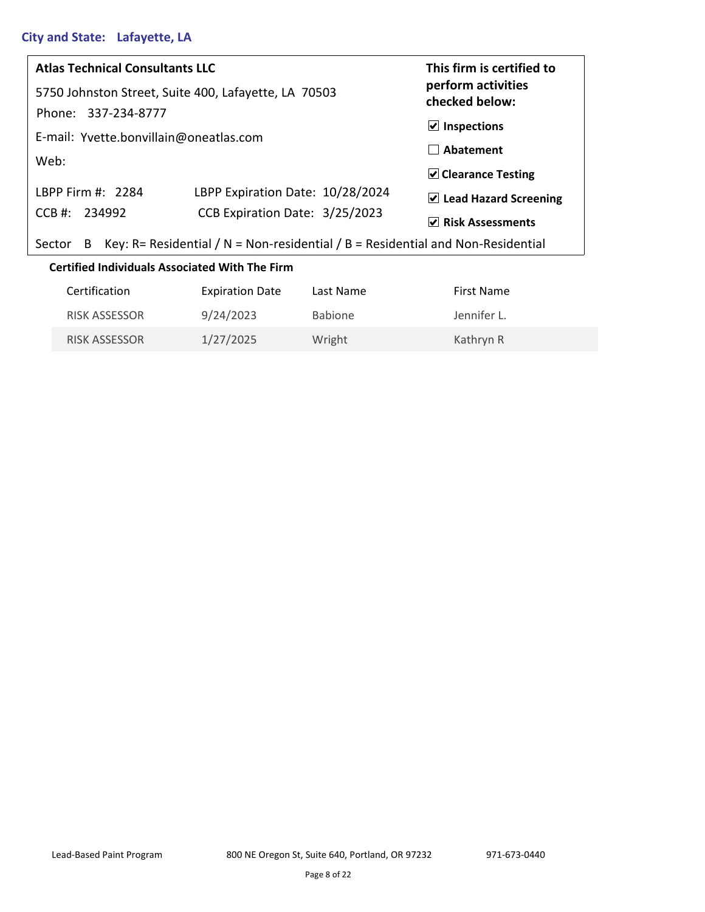# **City and State: Lafayette, LA**

| <b>Atlas Technical Consultants LLC</b>                                                         |                                  | This firm is certified to            |  |
|------------------------------------------------------------------------------------------------|----------------------------------|--------------------------------------|--|
| 5750 Johnston Street, Suite 400, Lafayette, LA 70503                                           |                                  | perform activities<br>checked below: |  |
| Phone: 337-234-8777                                                                            |                                  | $\vert$ Inspections                  |  |
| E-mail: Yvette.bonvillain@oneatlas.com                                                         |                                  |                                      |  |
| Web:                                                                                           |                                  | Abatement                            |  |
|                                                                                                |                                  | <b>▽</b> Clearance Testing           |  |
| LBPP Firm #: $2284$                                                                            | LBPP Expiration Date: 10/28/2024 | $\vee$ Lead Hazard Screening         |  |
| $CCB$ #: 234992                                                                                | CCB Expiration Date: 3/25/2023   | $\triangledown$ Risk Assessments     |  |
| Key: R= Residential / N = Non-residential / B = Residential and Non-Residential<br>B<br>Sector |                                  |                                      |  |
| <b>Certified Individuals Associated With The Firm</b>                                          |                                  |                                      |  |

| Certification        | <b>Expiration Date</b> | Last Name      | First Name  |  |  |
|----------------------|------------------------|----------------|-------------|--|--|
| <b>RISK ASSESSOR</b> | 9/24/2023              | <b>Babione</b> | Jennifer L. |  |  |
| <b>RISK ASSESSOR</b> | 1/27/2025              | Wright         | Kathryn R   |  |  |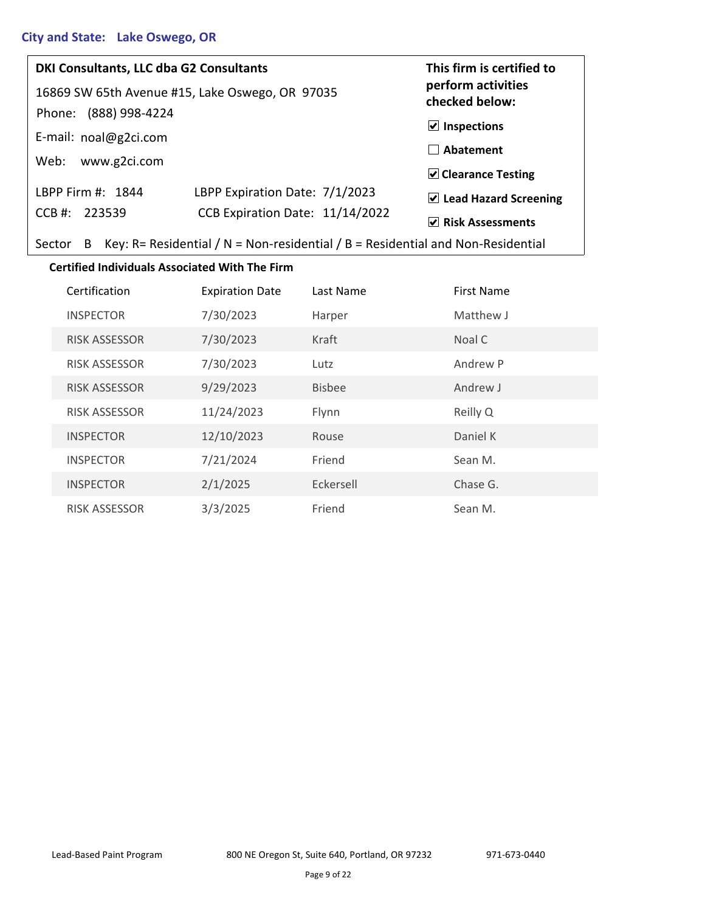### **City and State: Lake Oswego, OR**

| DKI Consultants, LLC dba G2 Consultants                                                        | This firm is certified to            |                              |  |
|------------------------------------------------------------------------------------------------|--------------------------------------|------------------------------|--|
| 16869 SW 65th Avenue #15, Lake Oswego, OR 97035                                                | perform activities<br>checked below: |                              |  |
| Phone: (888) 998-4224                                                                          |                                      | $\vert$ Inspections          |  |
| E-mail: noal@g2ci.com                                                                          |                                      | Abatement                    |  |
| www.g2ci.com<br>Web:                                                                           |                                      | $\vee$ Clearance Testing     |  |
| LBPP Firm #: 1844                                                                              | LBPP Expiration Date: 7/1/2023       |                              |  |
| CCB #: 223539                                                                                  | CCB Expiration Date: 11/14/2022      | $\vee$ Lead Hazard Screening |  |
|                                                                                                |                                      | $\vee$ Risk Assessments      |  |
| Key: R= Residential / N = Non-residential / B = Residential and Non-Residential<br>Sector<br>B |                                      |                              |  |

| Certification        | <b>Expiration Date</b> | Last Name     | <b>First Name</b> |
|----------------------|------------------------|---------------|-------------------|
| <b>INSPECTOR</b>     | 7/30/2023              | Harper        | Matthew J         |
| <b>RISK ASSESSOR</b> | 7/30/2023              | Kraft         | Noal C            |
| <b>RISK ASSESSOR</b> | 7/30/2023              | Lutz          | Andrew P          |
| <b>RISK ASSESSOR</b> | 9/29/2023              | <b>Bisbee</b> | Andrew J          |
| <b>RISK ASSESSOR</b> | 11/24/2023             | Flynn         | Reilly Q          |
| <b>INSPECTOR</b>     | 12/10/2023             | Rouse         | Daniel K          |
| <b>INSPECTOR</b>     | 7/21/2024              | Friend        | Sean M.           |
| <b>INSPECTOR</b>     | 2/1/2025               | Eckersell     | Chase G.          |
| <b>RISK ASSESSOR</b> | 3/3/2025               | Friend        | Sean M.           |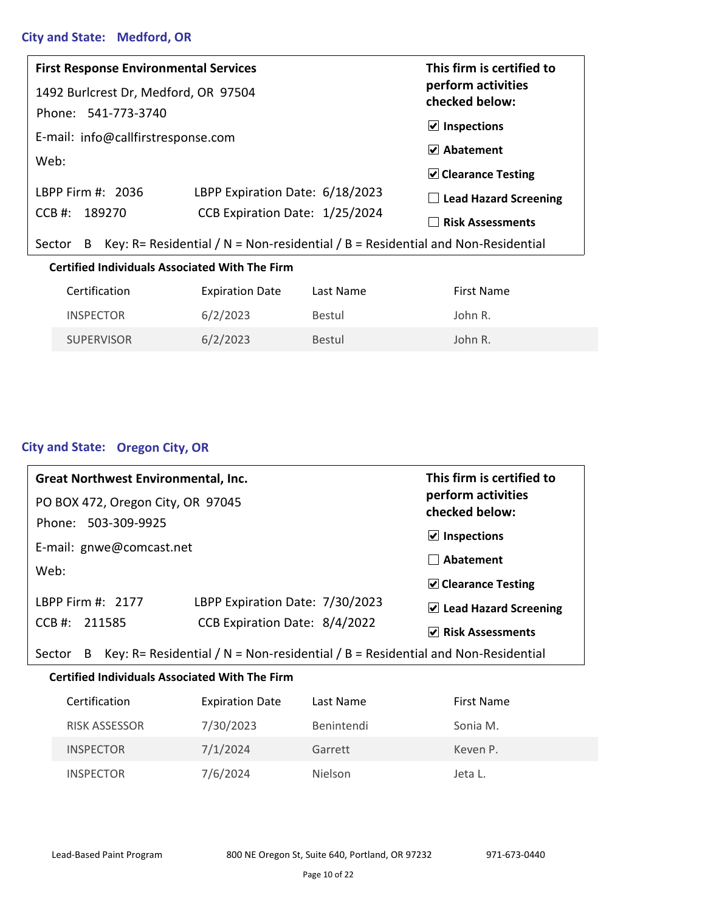### **City and State: Medford, OR**

| <b>First Response Environmental Services</b>                                                     |                                 | This firm is certified to            |  |
|--------------------------------------------------------------------------------------------------|---------------------------------|--------------------------------------|--|
| 1492 Burlcrest Dr, Medford, OR 97504                                                             |                                 | perform activities<br>checked below: |  |
| Phone: 541-773-3740                                                                              |                                 |                                      |  |
| E-mail: info@callfirstresponse.com                                                               |                                 | $\vert$ Inspections                  |  |
|                                                                                                  |                                 | Iv Abatement                         |  |
| Web:                                                                                             |                                 | <b>▽</b> Clearance Testing           |  |
| LBPP Firm #: 2036                                                                                | LBPP Expiration Date: 6/18/2023 | $\Box$ Lead Hazard Screening         |  |
| CCB #: 189270                                                                                    | CCB Expiration Date: 1/25/2024  | <b>Risk Assessments</b>              |  |
| Key: R= Residential / N = Non-residential / B = Residential and Non-Residential<br>Sector<br>- B |                                 |                                      |  |
| <b>Certified Individuals Associated With The Firm</b>                                            |                                 |                                      |  |

| Certification     | <b>Expiration Date</b> | Last Name     | First Name |  |
|-------------------|------------------------|---------------|------------|--|
| <b>INSPECTOR</b>  | 6/2/2023               | Bestul        | John R.    |  |
| <b>SUPERVISOR</b> | 6/2/2023               | <b>Bestul</b> | John R.    |  |

### **City and State: Oregon City, OR**

| <b>Great Northwest Environmental, Inc.</b> | This firm is certified to            |                                   |
|--------------------------------------------|--------------------------------------|-----------------------------------|
| PO BOX 472, Oregon City, OR 97045          | perform activities<br>checked below: |                                   |
| Phone: 503-309-9925                        | $\triangledown$ Inspections          |                                   |
| E-mail: gnwe@comcast.net                   |                                      | Abatement                         |
| Web:                                       |                                      | $\triangledown$ Clearance Testing |
| LBPP Firm #: $2177$                        | LBPP Expiration Date: 7/30/2023      |                                   |
| CCB #: 211585                              | CCB Expiration Date: 8/4/2022        | $\vee$ Lead Hazard Screening      |
|                                            |                                      | <b>Risk Assessments</b>           |

Sector B Key: R= Residential / N = Non-residential / B = Residential and Non-Residential

| Certification        | <b>Expiration Date</b> | Last Name      | <b>First Name</b> |
|----------------------|------------------------|----------------|-------------------|
| <b>RISK ASSESSOR</b> | 7/30/2023              | Benintendi     | Sonia M.          |
| <b>INSPECTOR</b>     | 7/1/2024               | Garrett        | Keven P.          |
| <b>INSPECTOR</b>     | 7/6/2024               | <b>Nielson</b> | Jeta L.           |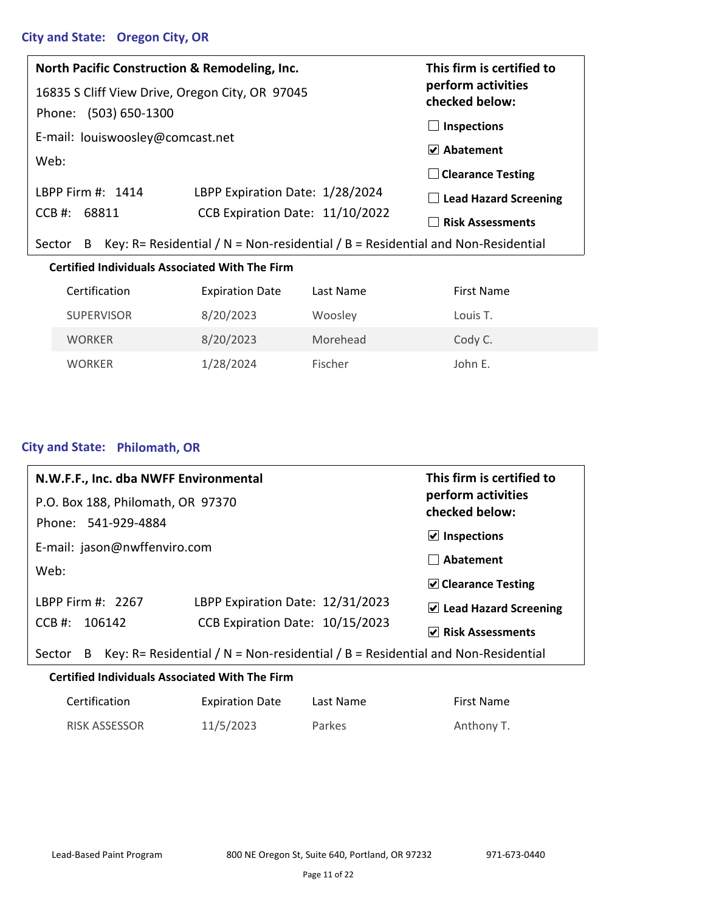### **City and State: Oregon City, OR**

| North Pacific Construction & Remodeling, Inc.                                                  | This firm is certified to       |                                      |  |
|------------------------------------------------------------------------------------------------|---------------------------------|--------------------------------------|--|
| 16835 S Cliff View Drive, Oregon City, OR 97045                                                |                                 | perform activities<br>checked below: |  |
| Phone: (503) 650-1300                                                                          |                                 |                                      |  |
| E-mail: louiswoosley@comcast.net                                                               |                                 | Inspections                          |  |
|                                                                                                |                                 | $\triangledown$ Abatement            |  |
| Web:                                                                                           |                                 | <b>Clearance Testing</b>             |  |
| LBPP Firm #: 1414                                                                              | LBPP Expiration Date: 1/28/2024 | $\Box$ Lead Hazard Screening         |  |
| $CCB$ #: 68811                                                                                 | CCB Expiration Date: 11/10/2022 |                                      |  |
|                                                                                                |                                 | <b>Risk Assessments</b>              |  |
| Key: R= Residential / N = Non-residential / B = Residential and Non-Residential<br>Sector<br>B |                                 |                                      |  |
|                                                                                                |                                 |                                      |  |

### **Certified Individuals Associated With The Firm**

| Certification     | <b>Expiration Date</b> | Last Name | <b>First Name</b> |
|-------------------|------------------------|-----------|-------------------|
| <b>SUPERVISOR</b> | 8/20/2023              | Woosley   | Louis T.          |
| <b>WORKER</b>     | 8/20/2023              | Morehead  | Cody C.           |
| <b>WORKER</b>     | 1/28/2024              | Fischer   | John E.           |

### **City and State: Philomath, OR**

| N.W.F.F., Inc. dba NWFF Environmental | This firm is certified to            |                                   |
|---------------------------------------|--------------------------------------|-----------------------------------|
| P.O. Box 188, Philomath, OR 97370     | perform activities<br>checked below: |                                   |
| Phone: 541-929-4884                   |                                      |                                   |
| E-mail: jason@nwffenviro.com          |                                      | $\vee$ Inspections                |
|                                       |                                      | Abatement                         |
| Web:                                  |                                      | $\triangledown$ Clearance Testing |
| LBPP Firm #: $2267$                   | LBPP Expiration Date: 12/31/2023     | $\vee$ Lead Hazard Screening      |
| 106142<br>$CCB$ #:                    | CCB Expiration Date: 10/15/2023      |                                   |
|                                       |                                      | <b>Risk Assessments</b><br>V      |

Sector B Key: R= Residential / N = Non-residential / B = Residential and Non-Residential

| Certification        | <b>Expiration Date</b> | Last Name | First Name |
|----------------------|------------------------|-----------|------------|
| <b>RISK ASSESSOR</b> | 11/5/2023              | Parkes    | Anthony T. |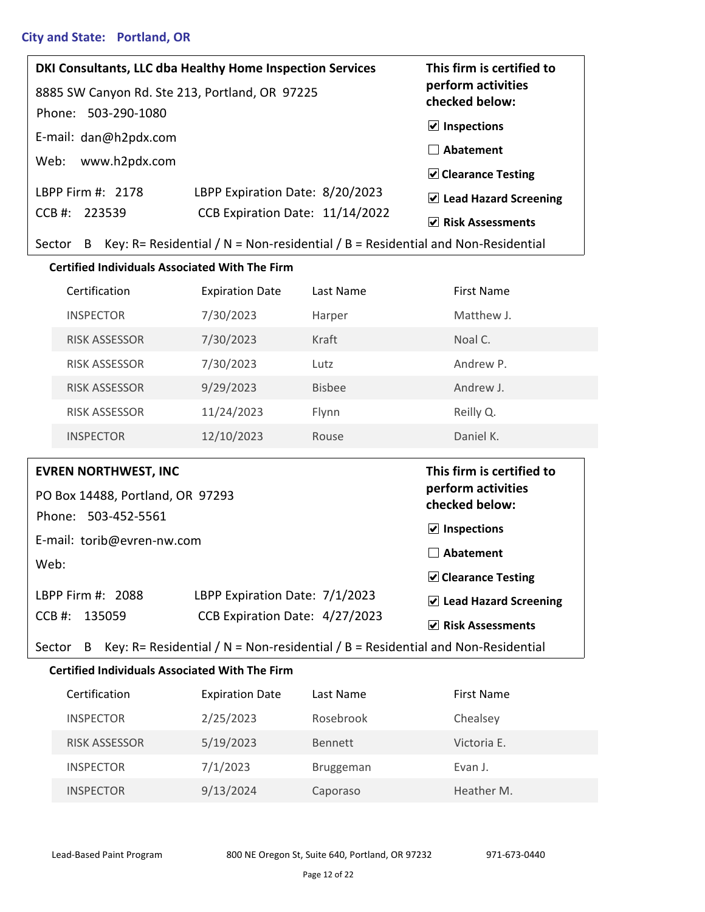| DKI Consultants, LLC dba Healthy Home Inspection Services                                      | This firm is certified to            |                                                 |  |
|------------------------------------------------------------------------------------------------|--------------------------------------|-------------------------------------------------|--|
| 8885 SW Canyon Rd. Ste 213, Portland, OR 97225                                                 | perform activities<br>checked below: |                                                 |  |
| Phone: 503-290-1080                                                                            |                                      |                                                 |  |
| E-mail: dan@h2pdx.com                                                                          |                                      | Inspections<br>V                                |  |
|                                                                                                |                                      | Abatement                                       |  |
| www.h2pdx.com<br>Web:                                                                          |                                      |                                                 |  |
|                                                                                                |                                      | <b>☑</b> Clearance Testing                      |  |
| LBPP Firm #: 2178                                                                              | LBPP Expiration Date: 8/20/2023      | $\vee$ Lead Hazard Screening                    |  |
| CCB #: 223539                                                                                  | CCB Expiration Date: 11/14/2022      |                                                 |  |
|                                                                                                |                                      | <b>Risk Assessments</b><br>$\blacktriangledown$ |  |
| Key: R= Residential / N = Non-residential / B = Residential and Non-Residential<br>Sector<br>B |                                      |                                                 |  |

| <b>Certified Individuals Associated With The Firm</b> |                        |               |                   |  |
|-------------------------------------------------------|------------------------|---------------|-------------------|--|
| Certification                                         | <b>Expiration Date</b> | Last Name     | <b>First Name</b> |  |
| <b>INSPECTOR</b>                                      | 7/30/2023              | Harper        | Matthew J.        |  |
| <b>RISK ASSESSOR</b>                                  | 7/30/2023              | Kraft         | Noal C.           |  |
| <b>RISK ASSESSOR</b>                                  | 7/30/2023              | Lutz          | Andrew P.         |  |
| <b>RISK ASSESSOR</b>                                  | 9/29/2023              | <b>Bishee</b> | Andrew J.         |  |
| <b>RISK ASSESSOR</b>                                  | 11/24/2023             | Flynn         | Reilly Q.         |  |
| <b>INSPECTOR</b>                                      | 12/10/2023             | Rouse         | Daniel K.         |  |

| <b>EVREN NORTHWEST, INC</b>      | This firm is certified to            |                              |
|----------------------------------|--------------------------------------|------------------------------|
| PO Box 14488, Portland, OR 97293 | perform activities<br>checked below: |                              |
| Phone: 503-452-5561              |                                      |                              |
|                                  |                                      | $\vert$ Inspections          |
| E-mail: torib@evren-nw.com       |                                      | Abatement                    |
| Web:                             |                                      |                              |
|                                  |                                      | $\vee$ Clearance Testing     |
| LBPP Firm #: 2088                | LBPP Expiration Date: 7/1/2023       | $\vee$ Lead Hazard Screening |
| $CCB$ #:<br>135059               | CCB Expiration Date: 4/27/2023       |                              |
|                                  |                                      | <b>Risk Assessments</b>      |

Sector B Key:  $R=$  Residential / N = Non-residential / B = Residential and Non-Residential

| Certification        | <b>Expiration Date</b> | Last Name        | First Name  |
|----------------------|------------------------|------------------|-------------|
| <b>INSPECTOR</b>     | 2/25/2023              | Rosebrook        | Chealsey    |
| <b>RISK ASSESSOR</b> | 5/19/2023              | Bennett          | Victoria E. |
| <b>INSPECTOR</b>     | 7/1/2023               | <b>Bruggeman</b> | Evan J.     |
| <b>INSPECTOR</b>     | 9/13/2024              | Caporaso         | Heather M.  |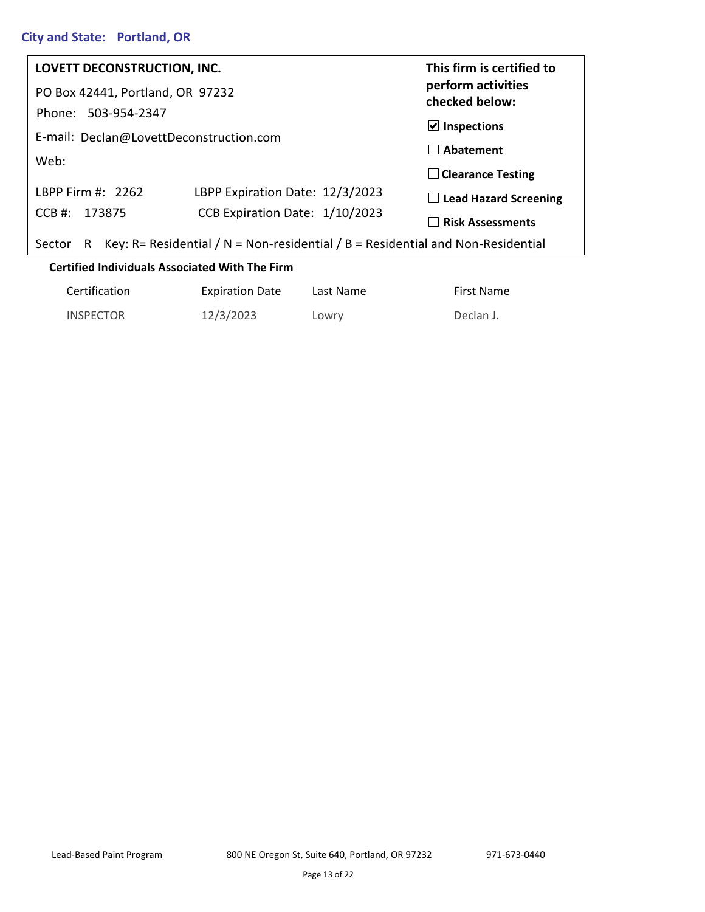| LOVETT DECONSTRUCTION, INC.                                                                    | This firm is certified to            |                                              |  |
|------------------------------------------------------------------------------------------------|--------------------------------------|----------------------------------------------|--|
| PO Box 42441, Portland, OR 97232                                                               | perform activities<br>checked below: |                                              |  |
| Phone: 503-954-2347                                                                            |                                      |                                              |  |
| E-mail: Declan@LovettDeconstruction.com                                                        | $\vert$ Inspections                  |                                              |  |
|                                                                                                | Abatement                            |                                              |  |
| Web:                                                                                           |                                      | <b>Clearance Testing</b>                     |  |
|                                                                                                |                                      |                                              |  |
| LBPP Firm #: $2262$                                                                            | LBPP Expiration Date: 12/3/2023      | <b>Lead Hazard Screening</b><br>$\mathbf{I}$ |  |
| CCB #: 173875                                                                                  | CCB Expiration Date: 1/10/2023       | <b>Risk Assessments</b>                      |  |
| Key: R= Residential / N = Non-residential / B = Residential and Non-Residential<br>Sector<br>R |                                      |                                              |  |

| Certification    | <b>Expiration Date</b> | Last Name | <b>First Name</b> |
|------------------|------------------------|-----------|-------------------|
| <b>INSPECTOR</b> | 12/3/2023              | Lowry     | Declan J.         |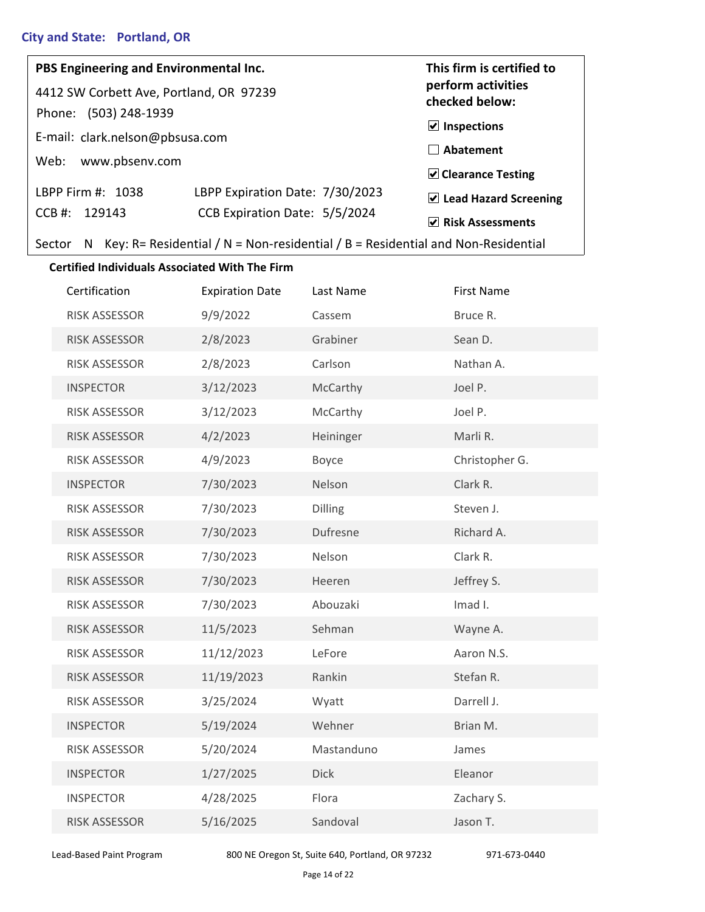| PBS Engineering and Environmental Inc.                                                         | This firm is certified to            |                                       |  |
|------------------------------------------------------------------------------------------------|--------------------------------------|---------------------------------------|--|
| 4412 SW Corbett Ave, Portland, OR 97239                                                        | perform activities<br>checked below: |                                       |  |
| (503) 248-1939<br>Phone:                                                                       |                                      |                                       |  |
| E-mail: clark.nelson@pbsusa.com                                                                | $\triangleright$ Inspections         |                                       |  |
|                                                                                                | Abatement                            |                                       |  |
| www.pbsenv.com<br>Web:                                                                         |                                      | <b>▽</b> Clearance Testing            |  |
| LBPP Firm #: 1038                                                                              | LBPP Expiration Date: 7/30/2023      |                                       |  |
|                                                                                                |                                      | $\triangledown$ Lead Hazard Screening |  |
| CCB #: 129143                                                                                  | CCB Expiration Date: 5/5/2024        | ✔ Risk Assessments                    |  |
| Key: R= Residential / N = Non-residential / B = Residential and Non-Residential<br>Sector<br>N |                                      |                                       |  |

#### **Certified Individuals Associated With The Firm**

| Certification        | <b>Expiration Date</b> | Last Name      | <b>First Name</b> |
|----------------------|------------------------|----------------|-------------------|
| RISK ASSESSOR        | 9/9/2022               | Cassem         | Bruce R.          |
| <b>RISK ASSESSOR</b> | 2/8/2023               | Grabiner       | Sean D.           |
| <b>RISK ASSESSOR</b> | 2/8/2023               | Carlson        | Nathan A.         |
| <b>INSPECTOR</b>     | 3/12/2023              | McCarthy       | Joel P.           |
| RISK ASSESSOR        | 3/12/2023              | McCarthy       | Joel P.           |
| <b>RISK ASSESSOR</b> | 4/2/2023               | Heininger      | Marli R.          |
| RISK ASSESSOR        | 4/9/2023               | Boyce          | Christopher G.    |
| <b>INSPECTOR</b>     | 7/30/2023              | Nelson         | Clark R.          |
| <b>RISK ASSESSOR</b> | 7/30/2023              | <b>Dilling</b> | Steven J.         |
| <b>RISK ASSESSOR</b> | 7/30/2023              | Dufresne       | Richard A.        |
| RISK ASSESSOR        | 7/30/2023              | Nelson         | Clark R.          |
| RISK ASSESSOR        | 7/30/2023              | Heeren         | Jeffrey S.        |
| <b>RISK ASSESSOR</b> | 7/30/2023              | Abouzaki       | Imad I.           |
| <b>RISK ASSESSOR</b> | 11/5/2023              | Sehman         | Wayne A.          |
| <b>RISK ASSESSOR</b> | 11/12/2023             | LeFore         | Aaron N.S.        |
| <b>RISK ASSESSOR</b> | 11/19/2023             | Rankin         | Stefan R.         |
| <b>RISK ASSESSOR</b> | 3/25/2024              | Wyatt          | Darrell J.        |
| <b>INSPECTOR</b>     | 5/19/2024              | Wehner         | Brian M.          |
| RISK ASSESSOR        | 5/20/2024              | Mastanduno     | James             |
| <b>INSPECTOR</b>     | 1/27/2025              | <b>Dick</b>    | Eleanor           |
| <b>INSPECTOR</b>     | 4/28/2025              | Flora          | Zachary S.        |
| <b>RISK ASSESSOR</b> | 5/16/2025              | Sandoval       | Jason T.          |

Lead-Based Paint Program 800 NE Oregon St, Suite 640, Portland, OR 97232 971-673-0440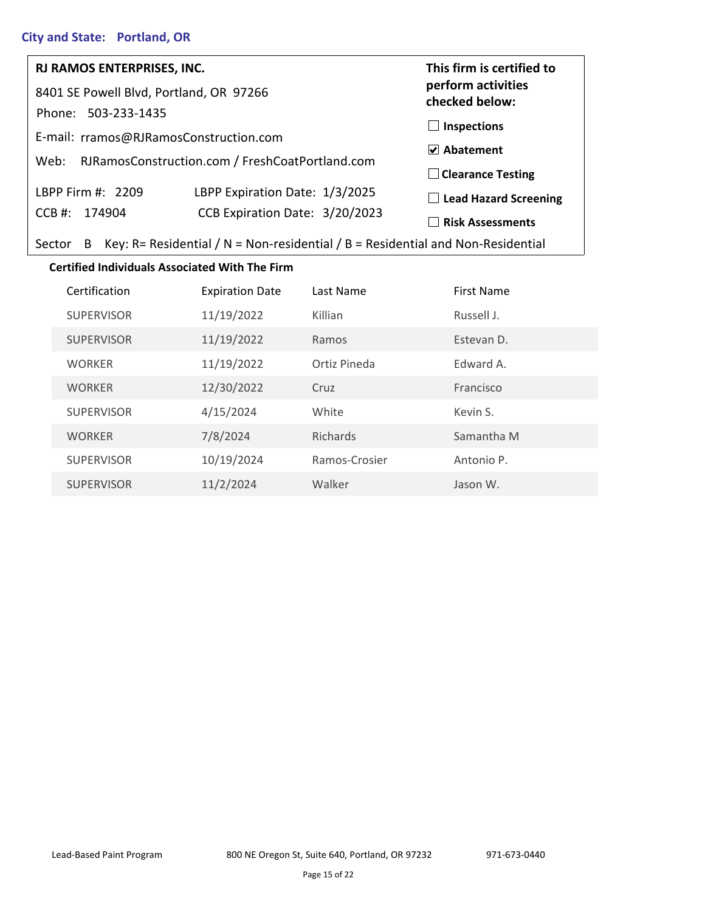| RJ RAMOS ENTERPRISES, INC.                                                                     |                                      | This firm is certified to    |  |
|------------------------------------------------------------------------------------------------|--------------------------------------|------------------------------|--|
| 8401 SE Powell Blvd, Portland, OR 97266                                                        | perform activities<br>checked below: |                              |  |
| Phone: 503-233-1435                                                                            |                                      | Inspections                  |  |
| E-mail: rramos@RJRamosConstruction.com                                                         |                                      |                              |  |
| RJRamosConstruction.com / FreshCoatPortland.com<br>Web:                                        |                                      | Iv Abatement                 |  |
|                                                                                                |                                      | $\Box$ Clearance Testing     |  |
| LBPP Firm #: 2209                                                                              | LBPP Expiration Date: 1/3/2025       | $\Box$ Lead Hazard Screening |  |
| CCB #: 174904                                                                                  | CCB Expiration Date: 3/20/2023       | <b>Risk Assessments</b>      |  |
| Key: R= Residential / N = Non-residential / B = Residential and Non-Residential<br>Sector<br>B |                                      |                              |  |

| Certification     | <b>Expiration Date</b> | Last Name     | <b>First Name</b> |
|-------------------|------------------------|---------------|-------------------|
| <b>SUPERVISOR</b> | 11/19/2022             | Killian       | Russell J.        |
| <b>SUPERVISOR</b> | 11/19/2022             | Ramos         | Estevan D.        |
| <b>WORKER</b>     | 11/19/2022             | Ortiz Pineda  | Edward A.         |
| <b>WORKER</b>     | 12/30/2022             | Cruz          | Francisco         |
| <b>SUPERVISOR</b> | 4/15/2024              | White         | Kevin S.          |
| <b>WORKER</b>     | 7/8/2024               | Richards      | Samantha M        |
| <b>SUPERVISOR</b> | 10/19/2024             | Ramos-Crosier | Antonio P.        |
| <b>SUPERVISOR</b> | 11/2/2024              | Walker        | Jason W.          |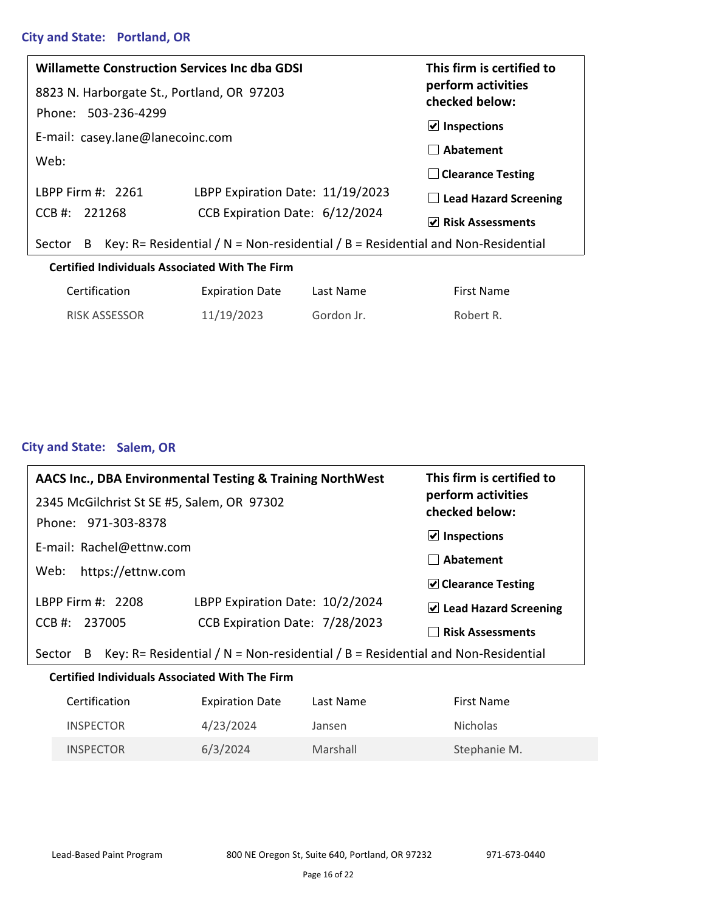| Willamette Construction Services Inc dba GDSI | This firm is certified to                                                         |                                              |
|-----------------------------------------------|-----------------------------------------------------------------------------------|----------------------------------------------|
| 8823 N. Harborgate St., Portland, OR 97203    | perform activities<br>checked below:                                              |                                              |
| Phone: 503-236-4299                           |                                                                                   |                                              |
| E-mail: casey.lane@lanecoinc.com              |                                                                                   | $\vert$ Inspections                          |
|                                               | Abatement                                                                         |                                              |
| Web:                                          |                                                                                   |                                              |
|                                               |                                                                                   | $\Box$ Clearance Testing                     |
| LBPP Firm #: 2261                             | LBPP Expiration Date: 11/19/2023                                                  | <b>Lead Hazard Screening</b><br>$\mathbf{I}$ |
| CCB #: 221268                                 | CCB Expiration Date: 6/12/2024                                                    |                                              |
|                                               |                                                                                   | $\triangledown$ Risk Assessments             |
| Sector<br>B.                                  | Key: R= Residential / $N = Non-residential / B = Residential$ and Non-Residential |                                              |
|                                               |                                                                                   |                                              |

| Certification        | <b>Expiration Date</b> | Last Name  | First Name |
|----------------------|------------------------|------------|------------|
| <b>RISK ASSESSOR</b> | 11/19/2023             | Gordon Jr. | Robert R.  |

### **City and State: Salem, OR**

| <b>AACS Inc., DBA Environmental Testing &amp; Training NorthWest</b> |                                 | This firm is certified to<br>perform activities<br>checked below: |
|----------------------------------------------------------------------|---------------------------------|-------------------------------------------------------------------|
| 2345 McGilchrist St SE #5, Salem, OR 97302                           |                                 |                                                                   |
| Phone: 971-303-8378                                                  |                                 | $\vee$ Inspections                                                |
| E-mail: Rachel@ettnw.com                                             |                                 | Abatement                                                         |
| https://ettnw.com<br>Web:                                            |                                 | $\triangledown$ Clearance Testing                                 |
| LBPP Firm #: 2208                                                    | LBPP Expiration Date: 10/2/2024 | $\vee$ Lead Hazard Screening                                      |
| $CCB$ #:<br>237005                                                   | CCB Expiration Date: 7/28/2023  | <b>Risk Assessments</b>                                           |

Sector B Key: R= Residential / N = Non-residential / B = Residential and Non-Residential

| Certification    | <b>Expiration Date</b> | Last Name | First Name      |
|------------------|------------------------|-----------|-----------------|
| <b>INSPECTOR</b> | 4/23/2024              | Jansen    | <b>Nicholas</b> |
| <b>INSPECTOR</b> | 6/3/2024               | Marshall  | Stephanie M.    |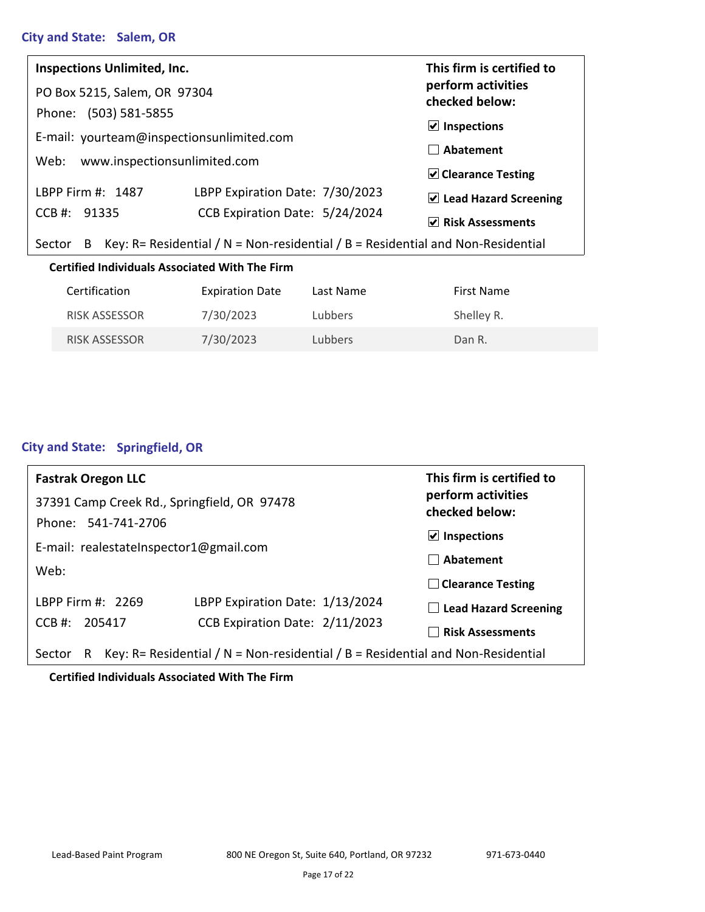### **City and State: Salem, OR**

| <b>Inspections Unlimited, Inc.</b>                                                             |                                 | This firm is certified to            |
|------------------------------------------------------------------------------------------------|---------------------------------|--------------------------------------|
| PO Box 5215, Salem, OR 97304                                                                   |                                 | perform activities<br>checked below: |
| Phone: (503) 581-5855                                                                          |                                 |                                      |
|                                                                                                |                                 | $\vert$ Inspections                  |
| E-mail: yourteam@inspectionsunlimited.com                                                      |                                 | Abatement                            |
| www.inspectionsunlimited.com<br>Web:                                                           |                                 |                                      |
|                                                                                                |                                 | $\vee$ Clearance Testing             |
| LBPP Firm #: 1487                                                                              | LBPP Expiration Date: 7/30/2023 | $\vee$ Lead Hazard Screening         |
| CCB #: 91335                                                                                   | CCB Expiration Date: 5/24/2024  |                                      |
|                                                                                                |                                 | $\triangledown$ Risk Assessments     |
| Key: R= Residential / N = Non-residential / B = Residential and Non-Residential<br>Sector<br>B |                                 |                                      |
| <b>Certified Individuals Associated With The Firm</b>                                          |                                 |                                      |

| , TCI WIILM IIIMIVIMMIJ I WJVYWWW VYIWI IIIU I IIIII |                      |                        |                |            |
|------------------------------------------------------|----------------------|------------------------|----------------|------------|
|                                                      | Certification        | <b>Expiration Date</b> | Last Name      | First Name |
|                                                      | <b>RISK ASSESSOR</b> | 7/30/2023              | <b>Lubbers</b> | Shelley R. |
|                                                      | <b>RISK ASSESSOR</b> | 7/30/2023              | Lubbers        | Dan R.     |

### **City and State: Springfield, OR**

| <b>Fastrak Oregon LLC</b>                                                                        |                                 | This firm is certified to            |  |
|--------------------------------------------------------------------------------------------------|---------------------------------|--------------------------------------|--|
| 37391 Camp Creek Rd., Springfield, OR 97478                                                      |                                 | perform activities<br>checked below: |  |
| Phone: 541-741-2706                                                                              |                                 |                                      |  |
| E-mail: realestateInspector1@gmail.com                                                           |                                 | $\vee$ Inspections                   |  |
|                                                                                                  |                                 | Abatement                            |  |
| Web:                                                                                             |                                 | $\Box$ Clearance Testing             |  |
| LBPP Firm #: 2269                                                                                | LBPP Expiration Date: 1/13/2024 | $\Box$ Lead Hazard Screening         |  |
| CCB #: 205417                                                                                    | CCB Expiration Date: 2/11/2023  |                                      |  |
|                                                                                                  |                                 | <b>Risk Assessments</b>              |  |
| Key: R= Residential / $N = Non-residential / B = Residential and Non-Residential$<br>Sector<br>R |                                 |                                      |  |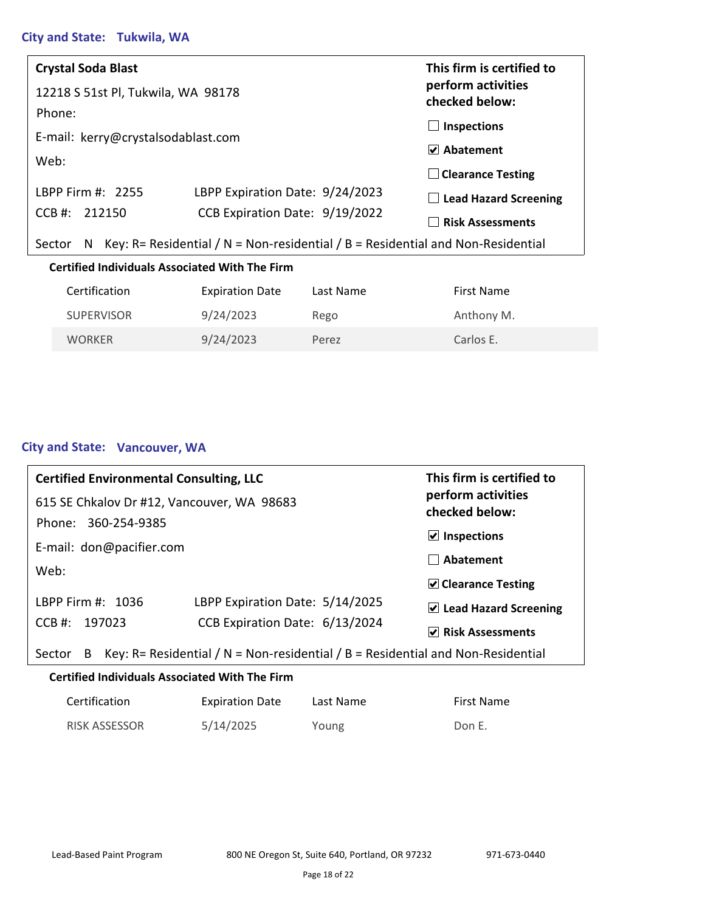### **City and State: Tukwila, WA**

| <b>Crystal Soda Blast</b><br>12218 S 51st Pl, Tukwila, WA 98178                                |                                 | This firm is certified to<br>perform activities<br>checked below: |  |
|------------------------------------------------------------------------------------------------|---------------------------------|-------------------------------------------------------------------|--|
| Phone:<br>E-mail: kerry@crystalsodablast.com                                                   |                                 | <b>Inspections</b>                                                |  |
| Web:                                                                                           |                                 | Abatement<br>M                                                    |  |
|                                                                                                |                                 | $\Box$ Clearance Testing                                          |  |
| LBPP Firm #: 2255                                                                              | LBPP Expiration Date: 9/24/2023 | <b>Lead Hazard Screening</b><br>$\mathbf{I}$                      |  |
| $CCB$ #: 212150                                                                                | CCB Expiration Date: 9/19/2022  | <b>Risk Assessments</b>                                           |  |
| Key: R= Residential / N = Non-residential / B = Residential and Non-Residential<br>Sector<br>N |                                 |                                                                   |  |
| <b>Certified Individuals Associated With The Firm</b>                                          |                                 |                                                                   |  |

| Certification     | <b>Expiration Date</b> | Last Name | First Name |
|-------------------|------------------------|-----------|------------|
| <b>SUPERVISOR</b> | 9/24/2023              | Rego      | Anthony M. |
| <b>WORKER</b>     | 9/24/2023              | Perez     | Carlos E.  |

### **City and State: Vancouver, WA**

| <b>Certified Environmental Consulting, LLC</b> |                                 | This firm is certified to            |
|------------------------------------------------|---------------------------------|--------------------------------------|
| 615 SE Chkalov Dr #12, Vancouver, WA 98683     |                                 | perform activities<br>checked below: |
| Phone: 360-254-9385                            |                                 | $\vee$ Inspections                   |
| E-mail: don@pacifier.com<br>Web:               |                                 | Abatement                            |
|                                                |                                 | $\triangleright$ Clearance Testing   |
| LBPP Firm #: 1036                              | LBPP Expiration Date: 5/14/2025 | $\vee$ Lead Hazard Screening         |
| 197023<br>$CCB$ #:                             | CCB Expiration Date: 6/13/2024  | <b>Risk Assessments</b><br>V         |

Sector B Key: R= Residential / N = Non-residential / B = Residential and Non-Residential

| Certification        | <b>Expiration Date</b> | Last Name | First Name |
|----------------------|------------------------|-----------|------------|
| <b>RISK ASSESSOR</b> | 5/14/2025              | Young     | Don E.     |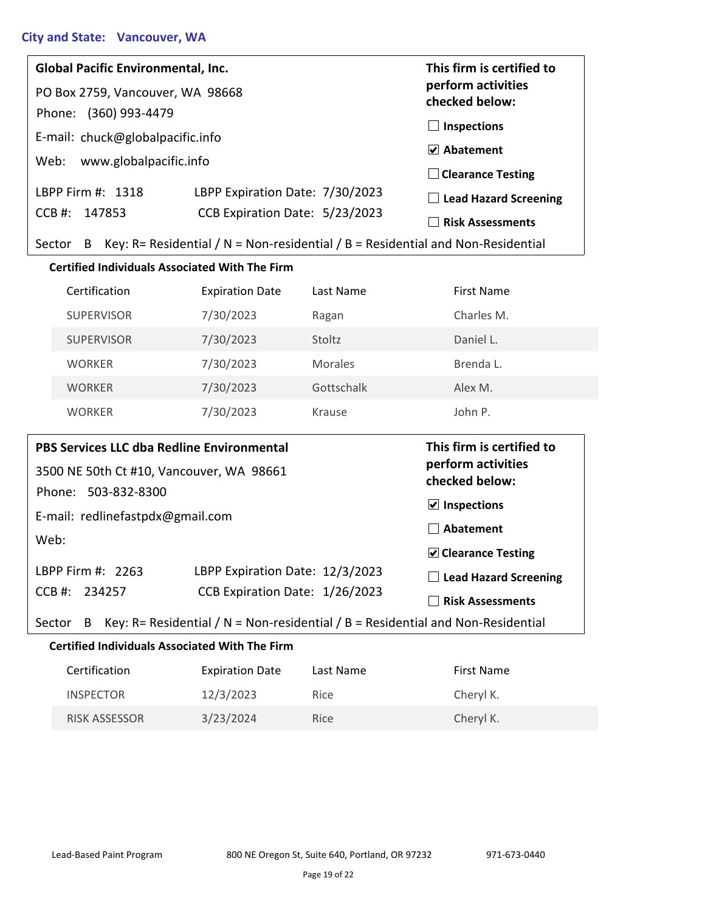### **City and State: Vancouver, WA**

| <b>Global Pacific Environmental, Inc.</b>                                                      |                                 |                | This firm is certified to                                                       |
|------------------------------------------------------------------------------------------------|---------------------------------|----------------|---------------------------------------------------------------------------------|
| PO Box 2759, Vancouver, WA 98668                                                               |                                 |                | perform activities<br>checked below:                                            |
| Phone: (360) 993-4479                                                                          |                                 |                | <b>Inspections</b>                                                              |
| E-mail: chuck@globalpacific.info                                                               |                                 |                | $\sqrt{ }$ Abatement                                                            |
| www.globalpacific.info<br>Web:                                                                 |                                 |                | <b>Clearance Testing</b>                                                        |
| LBPP Firm #: 1318                                                                              | LBPP Expiration Date: 7/30/2023 |                | <b>Lead Hazard Screening</b>                                                    |
| $CCB$ #:<br>147853                                                                             | CCB Expiration Date: 5/23/2023  |                | <b>Risk Assessments</b>                                                         |
| Sector B                                                                                       |                                 |                | Key: R= Residential / N = Non-residential / B = Residential and Non-Residential |
| <b>Certified Individuals Associated With The Firm</b>                                          |                                 |                |                                                                                 |
| Certification                                                                                  | <b>Expiration Date</b>          | Last Name      | <b>First Name</b>                                                               |
| <b>SUPERVISOR</b>                                                                              | 7/30/2023                       | Ragan          | Charles M.                                                                      |
| <b>SUPERVISOR</b>                                                                              | 7/30/2023                       | Stoltz         | Daniel L.                                                                       |
| <b>WORKER</b>                                                                                  | 7/30/2023                       | <b>Morales</b> | Brenda L.                                                                       |
| <b>WORKER</b>                                                                                  | 7/30/2023                       | Gottschalk     | Alex M.                                                                         |
| <b>WORKER</b>                                                                                  | 7/30/2023                       | Krause         | John P.                                                                         |
| PBS Services LLC dba Redline Environmental<br>3500 NE 50th Ct #10, Vancouver, WA 98661         |                                 |                | This firm is certified to<br>perform activities<br>checked below:               |
| Phone: 503-832-8300                                                                            |                                 |                | $\triangledown$ Inspections                                                     |
| E-mail: redlinefastpdx@gmail.com                                                               |                                 |                | Abatement                                                                       |
| Web:                                                                                           |                                 |                | $\triangledown$ Clearance Testing                                               |
| LBPP Firm #: 2263                                                                              | LBPP Expiration Date: 12/3/2023 |                | <b>Lead Hazard Screening</b>                                                    |
| $CCB$ #:<br>234257                                                                             | CCB Expiration Date: 1/26/2023  |                | <b>Risk Assessments</b>                                                         |
| Key: R= Residential / N = Non-residential / B = Residential and Non-Residential<br>Sector<br>B |                                 |                |                                                                                 |
| <b>Certified Individuals Associated With The Firm</b>                                          |                                 |                |                                                                                 |
| Certification                                                                                  | <b>Expiration Date</b>          | Last Name      | <b>First Name</b>                                                               |

Certification **Expiration Date** Last Name **First Name** INSPECTOR 12/3/2023 Rice Cheryl K. RISK ASSESSOR 3/23/2024 Rice Cheryl K.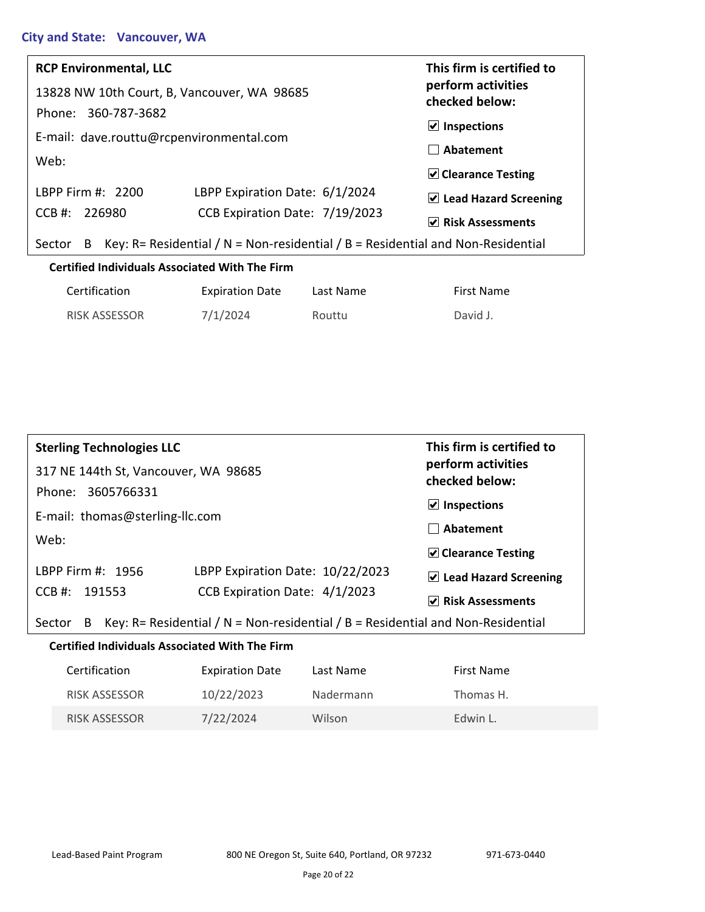### **City and State: Vancouver, WA**

| <b>RCP Environmental, LLC</b>                                                                  |                                | This firm is certified to            |  |
|------------------------------------------------------------------------------------------------|--------------------------------|--------------------------------------|--|
| 13828 NW 10th Court, B, Vancouver, WA 98685                                                    |                                | perform activities<br>checked below: |  |
| Phone: 360-787-3682                                                                            |                                | $\vert$ Inspections                  |  |
| E-mail: dave.routtu@rcpenvironmental.com                                                       |                                | Abatement                            |  |
| Web:                                                                                           |                                |                                      |  |
| LBPP Firm #: 2200                                                                              | LBPP Expiration Date: 6/1/2024 | $\triangledown$ Clearance Testing    |  |
| CCB #: 226980                                                                                  | CCB Expiration Date: 7/19/2023 | $\vee$ Lead Hazard Screening         |  |
|                                                                                                |                                | <b>V</b> Risk Assessments            |  |
| Key: R= Residential / N = Non-residential / B = Residential and Non-Residential<br>Sector<br>B |                                |                                      |  |

| Certification        | <b>Expiration Date</b> | Last Name | First Name |
|----------------------|------------------------|-----------|------------|
| <b>RISK ASSESSOR</b> | 7/1/2024               | Routtu    | David J.   |

| <b>Sterling Technologies LLC</b>                                                                  |                                  | This firm is certified to            |  |  |
|---------------------------------------------------------------------------------------------------|----------------------------------|--------------------------------------|--|--|
| 317 NE 144th St, Vancouver, WA 98685                                                              |                                  | perform activities<br>checked below: |  |  |
| Phone: 3605766331                                                                                 |                                  |                                      |  |  |
|                                                                                                   |                                  | $\triangleright$ Inspections         |  |  |
| E-mail: thomas@sterling-llc.com                                                                   |                                  |                                      |  |  |
|                                                                                                   |                                  | Abatement                            |  |  |
| Web:                                                                                              |                                  |                                      |  |  |
|                                                                                                   |                                  | $\triangleright$ Clearance Testing   |  |  |
| LBPP Firm #: 1956                                                                                 | LBPP Expiration Date: 10/22/2023 | $\vee$ Lead Hazard Screening         |  |  |
|                                                                                                   |                                  |                                      |  |  |
| $CCB$ #: 191553                                                                                   | CCB Expiration Date: 4/1/2023    | $ $ Risk Assessments                 |  |  |
| Key: R= Residential / $N = Non-residential / B = Residential and Non-Residential$<br>Sector<br>B. |                                  |                                      |  |  |

| Certification        | <b>Expiration Date</b> | Last Name | First Name |
|----------------------|------------------------|-----------|------------|
| <b>RISK ASSESSOR</b> | 10/22/2023             | Nadermann | Thomas H.  |
| <b>RISK ASSESSOR</b> | 7/22/2024              | Wilson    | Edwin L.   |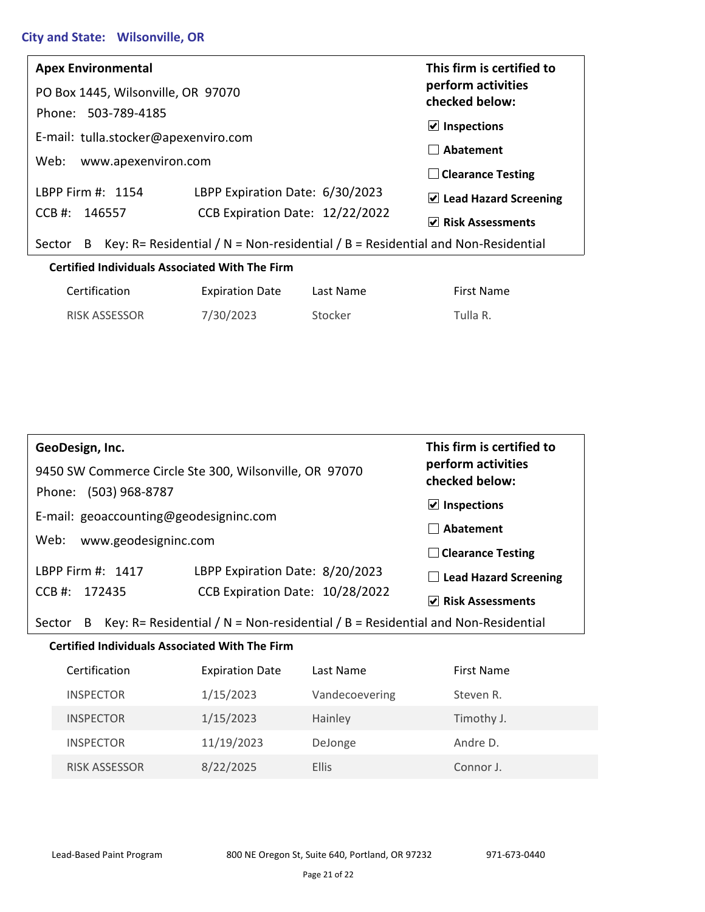### **City and State: Wilsonville, OR**

| <b>Apex Environmental</b>                                                                      | This firm is certified to            |                                  |  |  |
|------------------------------------------------------------------------------------------------|--------------------------------------|----------------------------------|--|--|
| PO Box 1445, Wilsonville, OR 97070                                                             | perform activities<br>checked below: |                                  |  |  |
| Phone: 503-789-4185                                                                            |                                      |                                  |  |  |
| E-mail: tulla.stocker@apexenviro.com                                                           |                                      | $\triangleright$ Inspections     |  |  |
| Web: www.apexenviron.com                                                                       |                                      | Abatement                        |  |  |
|                                                                                                |                                      | <b>Clearance Testing</b>         |  |  |
| LBPP Firm #: 1154                                                                              | LBPP Expiration Date: 6/30/2023      | $\vee$ Lead Hazard Screening     |  |  |
| CCB #: 146557                                                                                  | CCB Expiration Date: 12/22/2022      | $\triangledown$ Risk Assessments |  |  |
| Key: R= Residential / N = Non-residential / B = Residential and Non-Residential<br>Sector<br>B |                                      |                                  |  |  |

| <b>Certified Individuals Associated With The Firm</b> |  |  |  |  |
|-------------------------------------------------------|--|--|--|--|
|-------------------------------------------------------|--|--|--|--|

| Certification        | <b>Expiration Date</b> | Last Name | First Name |
|----------------------|------------------------|-----------|------------|
| <b>RISK ASSESSOR</b> | 7/30/2023              | Stocker   | Tulla R.   |

| GeoDesign, Inc.                                                                 | This firm is certified to       |                                      |
|---------------------------------------------------------------------------------|---------------------------------|--------------------------------------|
| 9450 SW Commerce Circle Ste 300, Wilsonville, OR 97070<br>Phone: (503) 968-8787 |                                 | perform activities<br>checked below: |
|                                                                                 | $\vee$ Inspections              |                                      |
| E-mail: geoaccounting@geodesigninc.com<br>www.geodesigninc.com<br>Web:          |                                 | Abatement                            |
|                                                                                 |                                 | $\Box$ Clearance Testing             |
| LBPP Firm #: 1417                                                               | LBPP Expiration Date: 8/20/2023 | $\Box$ Lead Hazard Screening         |
| CCB #: 172435                                                                   | CCB Expiration Date: 10/28/2022 | $\vee$ Risk Assessments              |
|                                                                                 |                                 |                                      |

# Sector B Key: R= Residential / N = Non-residential / B = Residential and Non-Residential

| Certification        | <b>Expiration Date</b> | Last Name      | First Name |
|----------------------|------------------------|----------------|------------|
| <b>INSPECTOR</b>     | 1/15/2023              | Vandecoevering | Steven R.  |
| <b>INSPECTOR</b>     | 1/15/2023              | Hainley        | Timothy J. |
| <b>INSPECTOR</b>     | 11/19/2023             | DeJonge        | Andre D.   |
| <b>RISK ASSESSOR</b> | 8/22/2025              | <b>Ellis</b>   | Connor J.  |